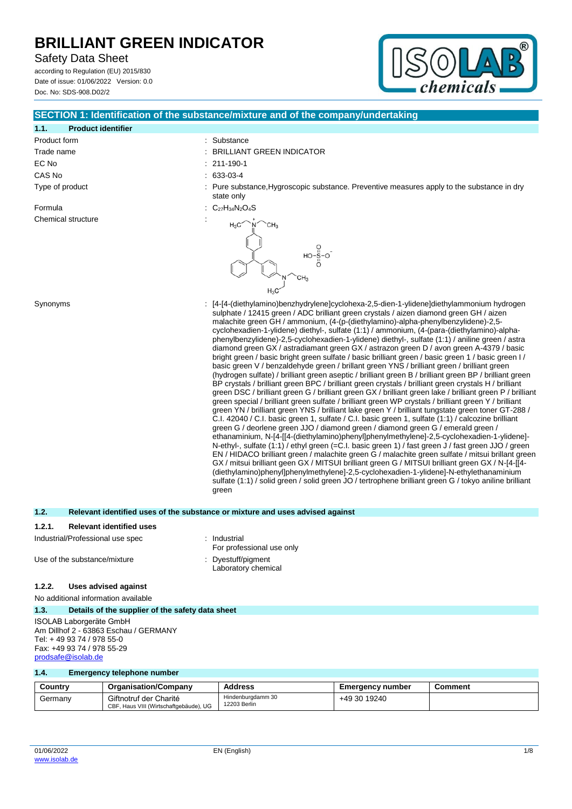Safety Data Sheet

according to Regulation (EU) 2015/830 Date of issue: 01/06/2022 Version: 0.0 Doc. No: SDS-908.D02/2



# **1.1. Product identifier** Product form  $\qquad \qquad$ : Substance Trade name  $\qquad \qquad : \qquad$  BRILLIANT GREEN INDICATOR EC No : 211-190-1 CAS No : 633-03-4 Type of product **interpretational intervalse in the substance**, Preventive measures apply to the substance in dry state only Formula  $C_{27}H_{34}N_2O_4S$ Chemical structure  $H_3C$ `CH<sub>3</sub>  $H_2C$ Synonyms : [4-[4-(diethylamino)benzhydrylene]cyclohexa-2,5-dien-1-ylidene]diethylammonium hydrogen sulphate / 12415 green / ADC brilliant green crystals / aizen diamond green GH / aizen malachite green GH / ammonium, (4-(p-(diethylamino)-alpha-phenylbenzylidene)-2,5 cyclohexadien-1-ylidene) diethyl-, sulfate (1:1) / ammonium, (4-(para-(diethylamino)-alphaphenylbenzylidene)-2,5-cyclohexadien-1-ylidene) diethyl-, sulfate (1:1) / aniline green / astra diamond green GX / astradiamant green GX / astrazon green D / avon green A-4379 / basic

bright green / basic bright green sulfate / basic brilliant green / basic green 1 / basic green I / basic green V / benzaldehyde green / brillant green YNS / brilliant green / brilliant green (hydrogen sulfate) / brilliant green aseptic / brilliant green B / brilliant green BP / brilliant green BP crystals / brilliant green BPC / brilliant green crystals / brilliant green crystals H / brilliant green DSC / brilliant green G / brilliant green GX / brilliant green lake / brilliant green P / brilliant green special / brilliant green sulfate / brilliant green WP crystals / brilliant green Y / brilliant green YN / brilliant green YNS / brilliant lake green Y / brilliant tungstate green toner GT-288 / C.I. 42040 / C.I. basic green 1, sulfate / C.I. basic green 1, sulfate (1:1) / calcozine brilliant green G / deorlene green JJO / diamond green / diamond green G / emerald green / ethanaminium, N-[4-[[4-(diethylamino)phenyl]phenylmethylene]-2,5-cyclohexadien-1-ylidene]- N-ethyl-, sulfate (1:1) / ethyl green (=C.I. basic green 1) / fast green J / fast green JJO / green EN / HIDACO brilliant green / malachite green G / malachite green sulfate / mitsui brillant green GX / mitsui brilliant geen GX / MITSUI brilliant green G / MITSUI brilliant green GX / N-[4-[[4- (diethylamino)phenyl]phenylmethylene]-2,5-cyclohexadien-1-ylidene]-N-ethylethanaminium sulfate (1:1) / solid green / solid green JO / tertrophene brilliant green G / tokyo aniline brilliant

**SECTION 1: Identification of the substance/mixture and of the company/undertaking**

| 1.2.   | Relevant identified uses of the substance or mixture and uses advised against |
|--------|-------------------------------------------------------------------------------|
| 1.2.1. | <b>Relevant identified uses</b>                                               |

green

Laboratory chemical

| Industrial/Professional use spec | : Industrial              |
|----------------------------------|---------------------------|
|                                  | For professional use only |
| Use of the substance/mixture     | : Dyestuff/pigment        |

## **1.2.2. Uses advised against**

No additional information available

## **1.3. Details of the supplier of the safety data sheet**

ISOLAB Laborgeräte GmbH Am Dillhof 2 - 63863 Eschau / GERMANY Tel: + 49 93 74 / 978 55-0 Fax: +49 93 74 / 978 55-29 [prodsafe@isolab.de](mailto:prodsafe@isolab.de)

#### **1.4. Emergency telephone number**

| Country | <b>Organisation/Company</b>                                      | Address                           | <b>Emergency number</b> | Comment |
|---------|------------------------------------------------------------------|-----------------------------------|-------------------------|---------|
| Germany | Giftnotruf der Charité<br>CBF, Haus VIII (Wirtschaftgebäude), UG | Hindenburgdamm 30<br>12203 Berlin | +49 30 19240            |         |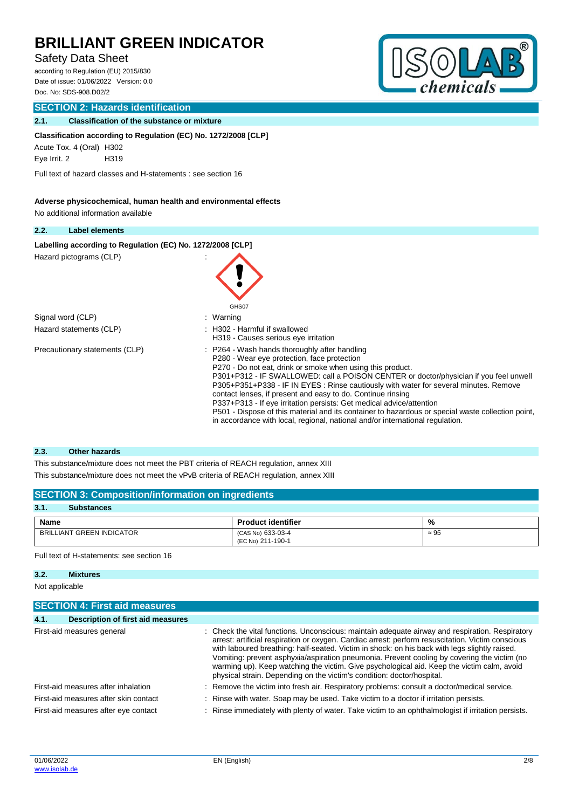# Safety Data Sheet

according to Regulation (EU) 2015/830 Date of issue: 01/06/2022 Version: 0.0 Doc. No: SDS-908.D02/2

## **SECTION 2: Hazards identification**

## **2.1. Classification of the substance or mixture**

### **Classification according to Regulation (EC) No. 1272/2008 [CLP]**

Acute Tox. 4 (Oral) H302

Eye Irrit. 2 H319

Full text of hazard classes and H-statements : see section 16

## **Adverse physicochemical, human health and environmental effects**

No additional information available

### **2.2. Label elements**

Labelling according to Regulation (EC) No. 1272/2008 [CLP]

```
Hazard pictograms (CLP)
```


## **2.3. Other hazards**

This substance/mixture does not meet the PBT criteria of REACH regulation, annex XIII This substance/mixture does not meet the vPvB criteria of REACH regulation, annex XIII

## **SECTION 3: Composition/information on ingredients**

| 3.1.<br><b>Substances</b> |                                        |              |
|---------------------------|----------------------------------------|--------------|
| <b>Name</b>               | <b>Product identifier</b>              | %            |
| BRILLIANT GREEN INDICATOR | (CAS No) 633-03-4<br>(EC No) 211-190-1 | $\approx 95$ |

## Full text of H-statements: see section 16

# **3.2. Mixtures**

Not applicable

|      | <b>SECTION 4: First aid measures</b>  |  |                                                                                                                                                                                                                                                                                                                                                                                                                                                                                                                                                                              |  |  |
|------|---------------------------------------|--|------------------------------------------------------------------------------------------------------------------------------------------------------------------------------------------------------------------------------------------------------------------------------------------------------------------------------------------------------------------------------------------------------------------------------------------------------------------------------------------------------------------------------------------------------------------------------|--|--|
| 4.1. | Description of first aid measures     |  |                                                                                                                                                                                                                                                                                                                                                                                                                                                                                                                                                                              |  |  |
|      | First-aid measures general            |  | : Check the vital functions. Unconscious: maintain adequate airway and respiration. Respiratory<br>arrest: artificial respiration or oxygen. Cardiac arrest: perform resuscitation. Victim conscious<br>with laboured breathing: half-seated. Victim in shock: on his back with legs slightly raised.<br>Vomiting: prevent asphyxia/aspiration pneumonia. Prevent cooling by covering the victim (no<br>warming up). Keep watching the victim. Give psychological aid. Keep the victim calm, avoid<br>physical strain. Depending on the victim's condition: doctor/hospital. |  |  |
|      | First-aid measures after inhalation   |  | : Remove the victim into fresh air. Respiratory problems: consult a doctor/medical service.                                                                                                                                                                                                                                                                                                                                                                                                                                                                                  |  |  |
|      | First-aid measures after skin contact |  | : Rinse with water. Soap may be used. Take victim to a doctor if irritation persists.                                                                                                                                                                                                                                                                                                                                                                                                                                                                                        |  |  |
|      | First-aid measures after eye contact  |  | : Rinse immediately with plenty of water. Take victim to an ophthalmologist if irritation persists.                                                                                                                                                                                                                                                                                                                                                                                                                                                                          |  |  |

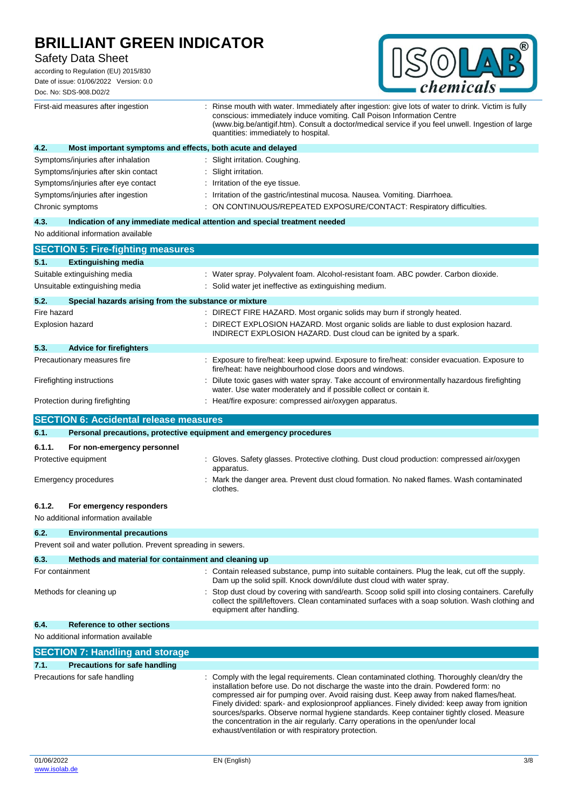Safety Data Sheet

according to Regulation (EU) 2015/830 Date of issue: 01/06/2022 Version: 0.0 Doc. No: SDS-908.D02/2



|             | First-aid measures after ingestion                                             | Rinse mouth with water. Immediately after ingestion: give lots of water to drink. Victim is fully<br>conscious: immediately induce vomiting. Call Poison Information Centre<br>(www.big.be/antigif.htm). Consult a doctor/medical service if you feel unwell. Ingestion of large<br>quantities: immediately to hospital. |
|-------------|--------------------------------------------------------------------------------|--------------------------------------------------------------------------------------------------------------------------------------------------------------------------------------------------------------------------------------------------------------------------------------------------------------------------|
| 4.2.        | Most important symptoms and effects, both acute and delayed                    |                                                                                                                                                                                                                                                                                                                          |
|             | Symptoms/injuries after inhalation                                             | Slight irritation. Coughing.                                                                                                                                                                                                                                                                                             |
|             | Symptoms/injuries after skin contact                                           | Slight irritation.                                                                                                                                                                                                                                                                                                       |
|             | Symptoms/injuries after eye contact                                            | Irritation of the eye tissue.                                                                                                                                                                                                                                                                                            |
|             | Symptoms/injuries after ingestion                                              | Irritation of the gastric/intestinal mucosa. Nausea. Vomiting. Diarrhoea.                                                                                                                                                                                                                                                |
|             | Chronic symptoms                                                               | ON CONTINUOUS/REPEATED EXPOSURE/CONTACT: Respiratory difficulties.                                                                                                                                                                                                                                                       |
| 4.3.        |                                                                                | Indication of any immediate medical attention and special treatment needed                                                                                                                                                                                                                                               |
|             | No additional information available                                            |                                                                                                                                                                                                                                                                                                                          |
|             | <b>SECTION 5: Fire-fighting measures</b>                                       |                                                                                                                                                                                                                                                                                                                          |
| 5.1.        | <b>Extinguishing media</b>                                                     |                                                                                                                                                                                                                                                                                                                          |
|             | Suitable extinguishing media                                                   | : Water spray. Polyvalent foam. Alcohol-resistant foam. ABC powder. Carbon dioxide.                                                                                                                                                                                                                                      |
|             | Unsuitable extinguishing media                                                 | : Solid water jet ineffective as extinguishing medium.                                                                                                                                                                                                                                                                   |
| 5.2.        | Special hazards arising from the substance or mixture                          |                                                                                                                                                                                                                                                                                                                          |
| Fire hazard |                                                                                | : DIRECT FIRE HAZARD. Most organic solids may burn if strongly heated.                                                                                                                                                                                                                                                   |
|             | <b>Explosion hazard</b>                                                        | : DIRECT EXPLOSION HAZARD. Most organic solids are liable to dust explosion hazard.<br>INDIRECT EXPLOSION HAZARD. Dust cloud can be ignited by a spark.                                                                                                                                                                  |
| 5.3.        | <b>Advice for firefighters</b>                                                 |                                                                                                                                                                                                                                                                                                                          |
|             | Precautionary measures fire                                                    | : Exposure to fire/heat: keep upwind. Exposure to fire/heat: consider evacuation. Exposure to<br>fire/heat: have neighbourhood close doors and windows.                                                                                                                                                                  |
|             | Firefighting instructions                                                      | Dilute toxic gases with water spray. Take account of environmentally hazardous firefighting<br>water. Use water moderately and if possible collect or contain it.                                                                                                                                                        |
|             | Protection during firefighting                                                 | : Heat/fire exposure: compressed air/oxygen apparatus.                                                                                                                                                                                                                                                                   |
|             | <b>SECTION 6: Accidental release measures</b>                                  |                                                                                                                                                                                                                                                                                                                          |
|             |                                                                                |                                                                                                                                                                                                                                                                                                                          |
| 6.1.        | Personal precautions, protective equipment and emergency procedures            |                                                                                                                                                                                                                                                                                                                          |
|             |                                                                                |                                                                                                                                                                                                                                                                                                                          |
| 6.1.1.      | For non-emergency personnel<br>Protective equipment                            | : Gloves. Safety glasses. Protective clothing. Dust cloud production: compressed air/oxygen                                                                                                                                                                                                                              |
|             | <b>Emergency procedures</b>                                                    | apparatus.<br>: Mark the danger area. Prevent dust cloud formation. No naked flames. Wash contaminated<br>clothes.                                                                                                                                                                                                       |
|             |                                                                                |                                                                                                                                                                                                                                                                                                                          |
| 6.1.2.      | For emergency responders<br>No additional information available                |                                                                                                                                                                                                                                                                                                                          |
|             |                                                                                |                                                                                                                                                                                                                                                                                                                          |
| 6.2.        | <b>Environmental precautions</b>                                               |                                                                                                                                                                                                                                                                                                                          |
|             | Prevent soil and water pollution. Prevent spreading in sewers.                 |                                                                                                                                                                                                                                                                                                                          |
| 6.3.        | Methods and material for containment and cleaning up                           |                                                                                                                                                                                                                                                                                                                          |
|             | For containment                                                                | : Contain released substance, pump into suitable containers. Plug the leak, cut off the supply.                                                                                                                                                                                                                          |
|             | Methods for cleaning up                                                        | Dam up the solid spill. Knock down/dilute dust cloud with water spray.<br>Stop dust cloud by covering with sand/earth. Scoop solid spill into closing containers. Carefully<br>collect the spill/leftovers. Clean contaminated surfaces with a soap solution. Wash clothing and<br>equipment after handling.             |
| 6.4.        | Reference to other sections                                                    |                                                                                                                                                                                                                                                                                                                          |
|             | No additional information available                                            |                                                                                                                                                                                                                                                                                                                          |
|             |                                                                                |                                                                                                                                                                                                                                                                                                                          |
| 7.1.        | <b>SECTION 7: Handling and storage</b><br><b>Precautions for safe handling</b> |                                                                                                                                                                                                                                                                                                                          |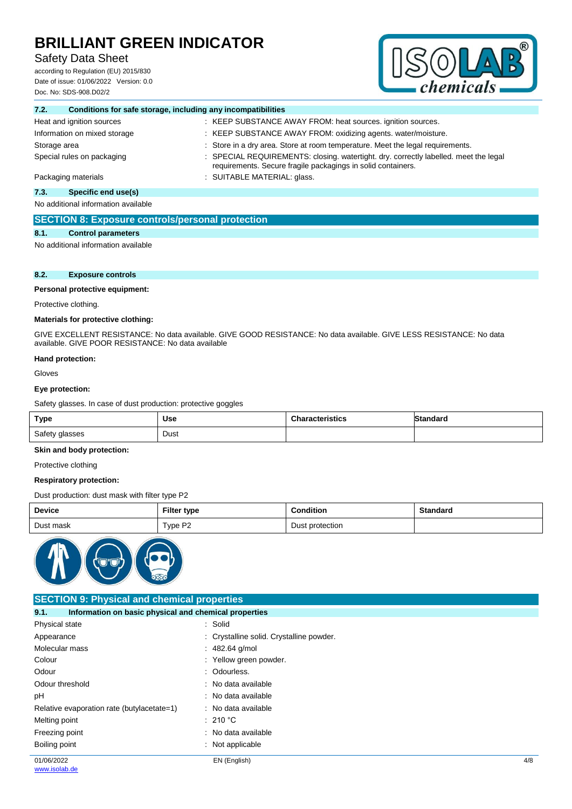# Safety Data Sheet

according to Regulation (EU) 2015/830 Date of issue: 01/06/2022 Version: 0.0 Doc. No: SDS-908.D02/2



| Conditions for safe storage, including any incompatibilities<br>7.2. |                                                                                                                                                      |
|----------------------------------------------------------------------|------------------------------------------------------------------------------------------------------------------------------------------------------|
| Heat and ignition sources                                            | : KEEP SUBSTANCE AWAY FROM: heat sources. ignition sources.                                                                                          |
| Information on mixed storage                                         | : KEEP SUBSTANCE AWAY FROM: oxidizing agents. water/moisture.                                                                                        |
| Storage area                                                         | : Store in a dry area. Store at room temperature. Meet the legal requirements.                                                                       |
| Special rules on packaging                                           | : SPECIAL REQUIREMENTS: closing. watertight. dry. correctly labelled. meet the legal<br>requirements. Secure fragile packagings in solid containers. |
| Packaging materials                                                  | : SUITABLE MATERIAL: glass.                                                                                                                          |
|                                                                      |                                                                                                                                                      |

**7.3. Specific end use(s)** No additional information available

# **SECTION 8: Exposure controls/personal protection**

## **8.1. Control parameters**

No additional information available

## **8.2. Exposure controls**

## **Personal protective equipment:**

Protective clothing.

## **Materials for protective clothing:**

GIVE EXCELLENT RESISTANCE: No data available. GIVE GOOD RESISTANCE: No data available. GIVE LESS RESISTANCE: No data available. GIVE POOR RESISTANCE: No data available

#### **Hand protection:**

Gloves

#### **Eye protection:**

Safety glasses. In case of dust production: protective goggles

| <b>Type</b>    | Use  | <b>Characteristics</b> | <b>Standard</b> |
|----------------|------|------------------------|-----------------|
| Safety glasses | Dust |                        |                 |

## **Skin and body protection:**

Protective clothing

### **Respiratory protection:**

Dust production: dust mask with filter type P2

| Device    | <b>Filter type</b>  | <b>Condition</b> | <b>Standard</b> |
|-----------|---------------------|------------------|-----------------|
| Dust mask | Type P <sub>2</sub> | Dust protection  |                 |



## **SECTION 9: Physical and chemical properties**

| 9.1.                                       | Information on basic physical and chemical properties |     |  |  |
|--------------------------------------------|-------------------------------------------------------|-----|--|--|
| Physical state                             | : Solid                                               |     |  |  |
| Appearance                                 | : Crystalline solid. Crystalline powder.              |     |  |  |
| Molecular mass                             | $: 482.64$ g/mol                                      |     |  |  |
| Colour                                     | : Yellow green powder.                                |     |  |  |
| Odour                                      | : Odourless.                                          |     |  |  |
| Odour threshold                            | : No data available                                   |     |  |  |
| pH                                         | : No data available                                   |     |  |  |
| Relative evaporation rate (butylacetate=1) | : No data available                                   |     |  |  |
| Melting point                              | $\therefore$ 210 °C                                   |     |  |  |
| Freezing point                             | : No data available                                   |     |  |  |
| Boiling point                              | $\therefore$ Not applicable                           |     |  |  |
| 01/06/2022                                 | EN (English)                                          | 4/8 |  |  |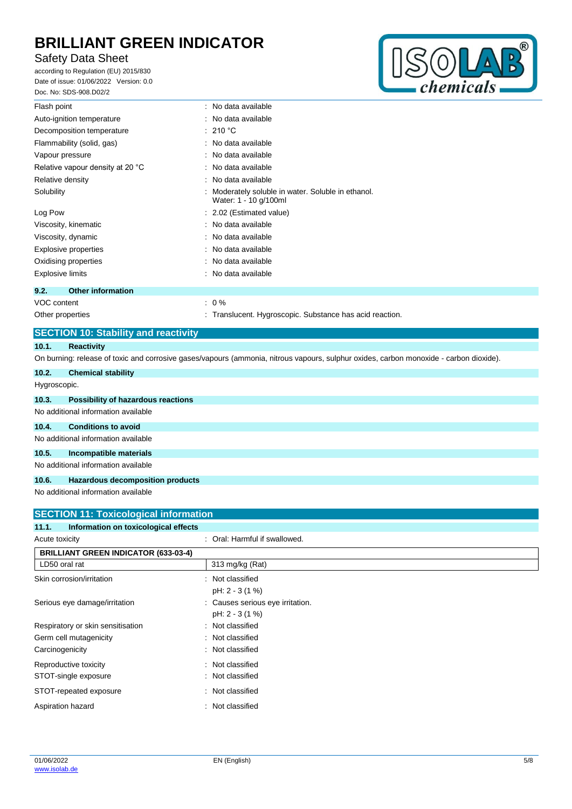# Safety Data Sheet

according to Regulation (EU) 2015/830 Date of issue: 01/06/2022 Version: 0.0 Doc. No: SDS-908.D02/2



| Flash point                                 | : No data available                                                       |
|---------------------------------------------|---------------------------------------------------------------------------|
| Auto-ignition temperature                   | : No data available                                                       |
| Decomposition temperature                   | : 210 °C                                                                  |
| Flammability (solid, gas)                   | : No data available                                                       |
| Vapour pressure                             | : No data available                                                       |
| Relative vapour density at 20 °C            | : No data available                                                       |
| Relative density                            | : No data available                                                       |
| Solubility                                  | Moderately soluble in water. Soluble in ethanol.<br>Water: 1 - 10 g/100ml |
| Log Pow                                     | : 2.02 (Estimated value)                                                  |
| Viscosity, kinematic                        | : No data available                                                       |
| Viscosity, dynamic                          | : No data available                                                       |
| <b>Explosive properties</b>                 | : No data available                                                       |
| Oxidising properties                        | : No data available                                                       |
| <b>Explosive limits</b>                     | : No data available                                                       |
| 9.2.<br><b>Other information</b>            |                                                                           |
| VOC content                                 | $: 0\%$                                                                   |
| Other properties                            | : Translucent. Hygroscopic. Substance has acid reaction.                  |
| <b>SECTION 10: Stability and reactivity</b> |                                                                           |
| 10.1.<br><b>Reactivity</b>                  |                                                                           |

On burning: release of toxic and corrosive gases/vapours (ammonia, nitrous vapours, sulphur oxides, carbon monoxide - carbon dioxide).

| 10.2.        | <b>Chemical stability</b>           |
|--------------|-------------------------------------|
| Hygroscopic. |                                     |
| 10.3.        | Possibility of hazardous reactions  |
|              | No additional information available |
| 10.4.        | <b>Conditions to avoid</b>          |
|              | No additional information available |
| 10.5.        | Incompatible materials              |
|              | No additional information available |
| 10.6.        | Hazardous decomposition products    |

No additional information available

| <b>SECTION 11: Toxicological information</b>  |                                  |  |
|-----------------------------------------------|----------------------------------|--|
| Information on toxicological effects<br>11.1. |                                  |  |
| Acute toxicity                                | : Oral: Harmful if swallowed.    |  |
| <b>BRILLIANT GREEN INDICATOR (633-03-4)</b>   |                                  |  |
| LD50 oral rat                                 | 313 mg/kg (Rat)                  |  |
| Skin corrosion/irritation                     | : Not classified                 |  |
|                                               | pH: 2 - 3 (1 %)                  |  |
| Serious eye damage/irritation                 | : Causes serious eye irritation. |  |
|                                               | pH: 2 - 3 (1 %)                  |  |
| Respiratory or skin sensitisation             | : Not classified                 |  |
| Germ cell mutagenicity                        | : Not classified                 |  |
| Carcinogenicity                               | : Not classified                 |  |
| Reproductive toxicity                         | : Not classified                 |  |
| STOT-single exposure                          | : Not classified                 |  |
| STOT-repeated exposure                        | : Not classified                 |  |
| Aspiration hazard<br>÷                        | Not classified                   |  |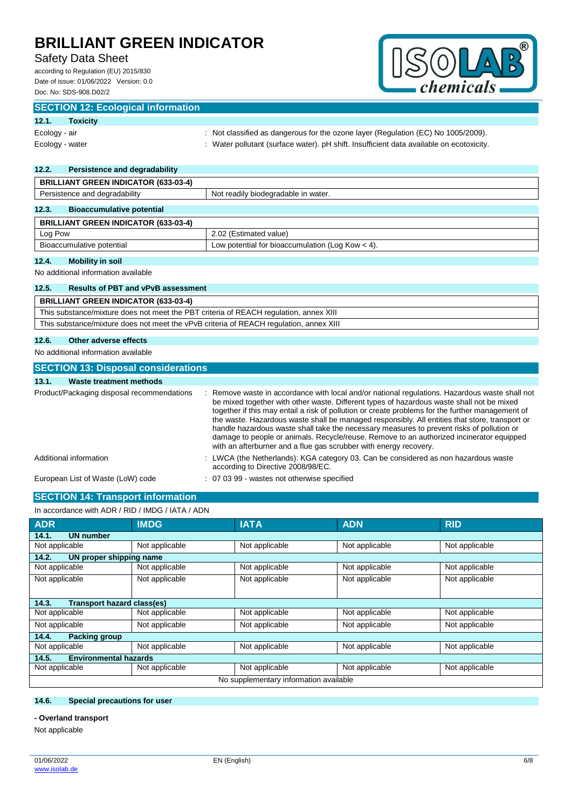# Safety Data Sheet

according to Regulation (EU) 2015/830 Date of issue: 01/06/2022 Version: 0.0 Doc. No: SDS-908.D02/2



## **SECTION 12: Ecological information**

## **12.1. Toxicity**

| ______<br>.     |                                                                                          |
|-----------------|------------------------------------------------------------------------------------------|
| Ecology - air   | : Not classified as dangerous for the ozone layer (Regulation (EC) No $1005/2009$ ).     |
| Ecology - water | : Water pollutant (surface water). pH shift. Insufficient data available on ecotoxicity. |

# **12.2. Persistence and degradability**

| <b>BRILLIANT GREEN INDICATOR (633-03-4)</b> |                                                    |  |
|---------------------------------------------|----------------------------------------------------|--|
| Persistence and degradability               | Not readily biodegradable in water.                |  |
| 12.3.<br><b>Bioaccumulative potential</b>   |                                                    |  |
| <b>BRILLIANT GREEN INDICATOR (633-03-4)</b> |                                                    |  |
| Log Pow                                     | 2.02 (Estimated value)                             |  |
| Bioaccumulative potential                   | Low potential for bioaccumulation (Log Kow $<$ 4). |  |

## **12.4. Mobility in soil**

No additional information available

## **12.5. Results of PBT and vPvB assessment**

| <b>BRILLIANT GREEN INDICATOR (633-03-4)</b>                                            |
|----------------------------------------------------------------------------------------|
| This substance/mixture does not meet the PBT criteria of REACH regulation, annex XIII  |
| This substance/mixture does not meet the vPvB criteria of REACH regulation, annex XIII |
|                                                                                        |

# **12.6. Other adverse effects**

No additional information available

## **SECTION 13: Disposal considerations**

## **13.1. Waste treatment methods**

| Product/Packaging disposal recommendations | Remove waste in accordance with local and/or national regulations. Hazardous waste shall not<br>be mixed together with other waste. Different types of hazardous waste shall not be mixed<br>together if this may entail a risk of pollution or create problems for the further management of<br>the waste. Hazardous waste shall be managed responsibly. All entities that store, transport or<br>handle hazardous waste shall take the necessary measures to prevent risks of pollution or<br>damage to people or animals. Recycle/reuse. Remove to an authorized incinerator equipped<br>with an afterburner and a flue gas scrubber with energy recovery. |
|--------------------------------------------|---------------------------------------------------------------------------------------------------------------------------------------------------------------------------------------------------------------------------------------------------------------------------------------------------------------------------------------------------------------------------------------------------------------------------------------------------------------------------------------------------------------------------------------------------------------------------------------------------------------------------------------------------------------|
| Additional information                     | : LWCA (the Netherlands): KGA category 03. Can be considered as non hazardous waste<br>according to Directive 2008/98/EC.                                                                                                                                                                                                                                                                                                                                                                                                                                                                                                                                     |
| European List of Waste (LoW) code          | : 07 03 99 - wastes not otherwise specified                                                                                                                                                                                                                                                                                                                                                                                                                                                                                                                                                                                                                   |

# **SECTION 14: Transport information**

## In accordance with ADR / RID / IMDG / IATA / ADN

| <b>ADR</b>                             | <b>IMDG</b>    | <b>IATA</b>    | <b>ADN</b>     | <b>RID</b>     |
|----------------------------------------|----------------|----------------|----------------|----------------|
| <b>UN number</b><br>14.1.              |                |                |                |                |
| Not applicable                         | Not applicable | Not applicable | Not applicable | Not applicable |
| 14.2.<br>UN proper shipping name       |                |                |                |                |
| Not applicable                         | Not applicable | Not applicable | Not applicable | Not applicable |
| Not applicable                         | Not applicable | Not applicable | Not applicable | Not applicable |
| Transport hazard class(es)<br>14.3.    |                |                |                |                |
| Not applicable                         | Not applicable | Not applicable | Not applicable | Not applicable |
| Not applicable                         | Not applicable | Not applicable | Not applicable | Not applicable |
| 14.4.<br><b>Packing group</b>          |                |                |                |                |
| Not applicable                         | Not applicable | Not applicable | Not applicable | Not applicable |
| <b>Environmental hazards</b><br>14.5.  |                |                |                |                |
| Not applicable                         | Not applicable | Not applicable | Not applicable | Not applicable |
| No supplementary information available |                |                |                |                |

## **14.6. Special precautions for user**

**- Overland transport**

Not applicable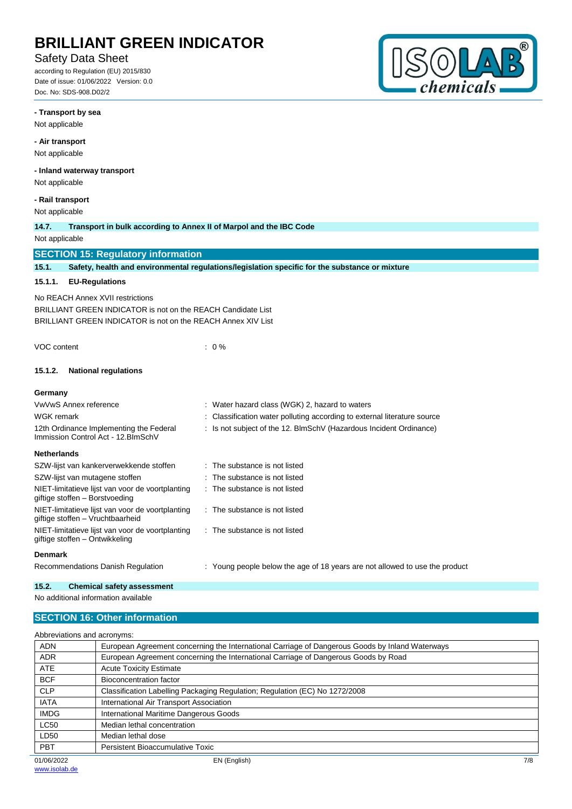# Safety Data Sheet

according to Regulation (EU) 2015/830 Date of issue: 01/06/2022 Version: 0.0 Doc. No: SDS-908.D02/2



#### **- Transport by sea**

Not applicable

#### **- Air transport**

Not applicable

### **- Inland waterway transport**

Not applicable

### **- Rail transport**

Not applicable

## **14.7. Transport in bulk according to Annex II of Marpol and the IBC Code**

Not applicable

## **SECTION 15: Regulatory information**

**15.1. Safety, health and environmental regulations/legislation specific for the substance or mixture**

### **15.1.1. EU-Regulations**

No REACH Annex XVII restrictions

BRILLIANT GREEN INDICATOR is not on the REACH Candidate List BRILLIANT GREEN INDICATOR is not on the REACH Annex XIV List

VOC content : 0 %

#### **15.1.2. National regulations**

#### **Germany** VwVwS Annex reference : Water hazard class (WGK) 2, hazard to waters WGK remark **in the source in the conduct of the Classification water polluting according to external literature source** 12th Ordinance Implementing the Federal Immission Control Act - 12.BImSchV : Is not subject of the 12. BlmSchV (Hazardous Incident Ordinance) **Netherlands** SZW-lijst van kankerverwekkende stoffen : The substance is not listed SZW-lijst van mutagene stoffen : The substance is not listed NIET-limitatieve lijst van voor de voortplanting giftige stoffen – Borstvoeding : The substance is not listed NIET-limitatieve lijst van voor de voortplanting giftige stoffen – Vruchtbaarheid : The substance is not listed NIET-limitatieve lijst van voor de voortplanting giftige stoffen – Ontwikkeling : The substance is not listed **Denmark**

Recommendations Danish Regulation : Young people below the age of 18 years are not allowed to use the product

#### **15.2. Chemical safety assessment**

No additional information available

## **SECTION 16: Other information**

Abbreviations and acronyms:

| <b>ADN</b>  | European Agreement concerning the International Carriage of Dangerous Goods by Inland Waterways |
|-------------|-------------------------------------------------------------------------------------------------|
| <b>ADR</b>  | European Agreement concerning the International Carriage of Dangerous Goods by Road             |
| <b>ATE</b>  | <b>Acute Toxicity Estimate</b>                                                                  |
| <b>BCF</b>  | <b>Bioconcentration factor</b>                                                                  |
| <b>CLP</b>  | Classification Labelling Packaging Regulation; Regulation (EC) No 1272/2008                     |
| <b>IATA</b> | International Air Transport Association                                                         |
| <b>IMDG</b> | International Maritime Dangerous Goods                                                          |
| <b>LC50</b> | Median lethal concentration                                                                     |
| LD50        | Median lethal dose                                                                              |
| <b>PBT</b>  | Persistent Bioaccumulative Toxic                                                                |